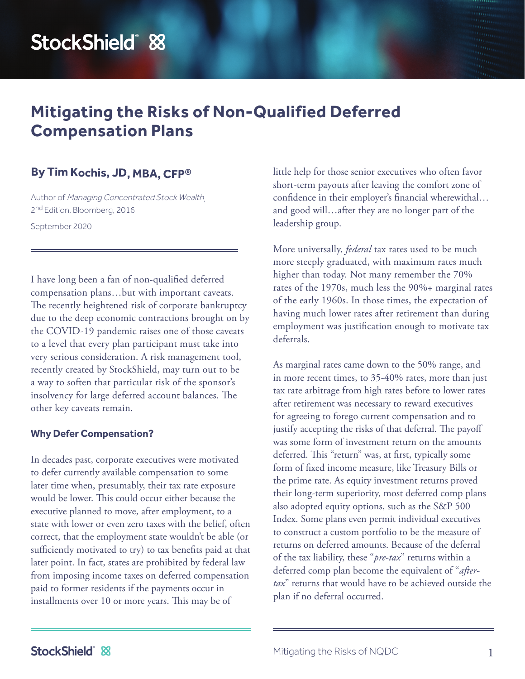# StockShield® &

# **Mitigating the Risks of Non-Qualified Deferred Compensation Plans**

## **By Tim Kochis, JD, MBA, CFP®**

Author of Managing Concentrated Stock Wealth, 2<sup>nd</sup> Edition, Bloomberg, 2016

September 2020

I have long been a fan of non-qualified deferred compensation plans…but with important caveats. The recently heightened risk of corporate bankruptcy due to the deep economic contractions brought on by the COVID-19 pandemic raises one of those caveats to a level that every plan participant must take into very serious consideration. A risk management tool, recently created by StockShield, may turn out to be a way to soften that particular risk of the sponsor's insolvency for large deferred account balances. The other key caveats remain.

#### **Why Defer Compensation?**

In decades past, corporate executives were motivated to defer currently available compensation to some later time when, presumably, their tax rate exposure would be lower. This could occur either because the executive planned to move, after employment, to a state with lower or even zero taxes with the belief, often correct, that the employment state wouldn't be able (or sufficiently motivated to try) to tax benefits paid at that later point. In fact, states are prohibited by federal law from imposing income taxes on deferred compensation paid to former residents if the payments occur in installments over 10 or more years. This may be of

little help for those senior executives who often favor short-term payouts after leaving the comfort zone of confidence in their employer's financial wherewithal… and good will…after they are no longer part of the leadership group.

More universally, *federal* tax rates used to be much more steeply graduated, with maximum rates much higher than today. Not many remember the 70% rates of the 1970s, much less the 90%+ marginal rates of the early 1960s. In those times, the expectation of having much lower rates after retirement than during employment was justification enough to motivate tax deferrals.

As marginal rates came down to the 50% range, and in more recent times, to 35-40% rates, more than just tax rate arbitrage from high rates before to lower rates after retirement was necessary to reward executives for agreeing to forego current compensation and to justify accepting the risks of that deferral. The payoff was some form of investment return on the amounts deferred. This "return" was, at first, typically some form of fixed income measure, like Treasury Bills or the prime rate. As equity investment returns proved their long-term superiority, most deferred comp plans also adopted equity options, such as the S&P 500 Index. Some plans even permit individual executives to construct a custom portfolio to be the measure of returns on deferred amounts. Because of the deferral of the tax liability, these "*pre-tax*" returns within a deferred comp plan become the equivalent of "*aftertax*" returns that would have to be achieved outside the plan if no deferral occurred.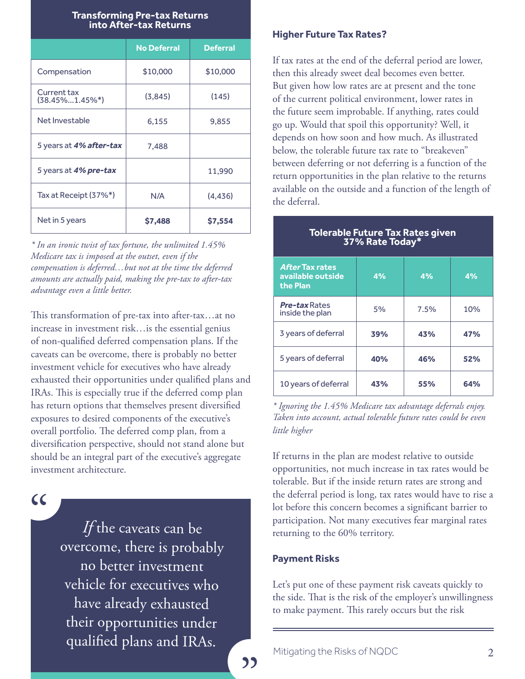#### **Transforming Pre-tax Returns into After-tax Returns**

|                                   | <b>No Deferral</b> | <b>Deferral</b> |
|-----------------------------------|--------------------|-----------------|
| Compensation                      | \$10,000           | \$10,000        |
| Current tax<br>$(38.45\%1.45\%*)$ | (3,845)            | (145)           |
| Net Investable                    | 6.155              | 9,855           |
| 5 years at 4% after-tax           | 7,488              |                 |
| 5 years at 4% pre-tax             |                    | 11,990          |
| Tax at Receipt (37%*)             | N/A                | (4, 436)        |
| Net in 5 years                    | \$7,488            | \$7,554         |

*\* In an ironic twist of tax fortune, the unlimited 1.45% Medicare tax is imposed at the outset, even if the compensation is deferred…but not at the time the deferred amounts are actually paid, making the pre-tax to after-tax advantage even a little better.*

This transformation of pre-tax into after-tax…at no increase in investment risk…is the essential genius of non-qualified deferred compensation plans. If the caveats can be overcome, there is probably no better investment vehicle for executives who have already exhausted their opportunities under qualified plans and IRAs. This is especially true if the deferred comp plan has return options that themselves present diversified exposures to desired components of the executive's overall portfolio. The deferred comp plan, from a diversification perspective, should not stand alone but should be an integral part of the executive's aggregate investment architecture.

: "

*If* the caveats can be overcome, there is probably no better investment vehicle for executives who have already exhausted their opportunities under qualified plans and IRAs.

#### **Higher Future Tax Rates?**

If tax rates at the end of the deferral period are lower, then this already sweet deal becomes even better. But given how low rates are at present and the tone of the current political environment, lower rates in the future seem improbable. If anything, rates could go up. Would that spoil this opportunity? Well, it depends on how soon and how much. As illustrated below, the tolerable future tax rate to "breakeven" between deferring or not deferring is a function of the return opportunities in the plan relative to the returns available on the outside and a function of the length of the deferral.

| <b>Tolerable Future Tax Rates given</b><br>37% Rate Today* |     |      |     |  |
|------------------------------------------------------------|-----|------|-----|--|
| <b>After Tax rates</b><br>available outside<br>the Plan    | 4%  | 4%   | 4%  |  |
| <b>Pre-tax</b> Rates<br>inside the plan                    | 5%  | 7.5% | 10% |  |
| 3 years of deferral                                        | 39% | 43%  | 47% |  |
| 5 years of deferral                                        | 40% | 46%  | 52% |  |
| 10 years of deferral                                       | 43% | 55%  | 64% |  |

*\* Ignoring the 1.45% Medicare tax advantage deferrals enjoy. Taken into account, actual tolerable future rates could be even little higher*

If returns in the plan are modest relative to outside opportunities, not much increase in tax rates would be tolerable. But if the inside return rates are strong and the deferral period is long, tax rates would have to rise a lot before this concern becomes a significant barrier to participation. Not many executives fear marginal rates returning to the 60% territory.

#### **Payment Risks**

**"** 

Let's put one of these payment risk caveats quickly to the side. That is the risk of the employer's unwillingness to make payment. This rarely occurs but the risk

Mitigating the Risks of NQDC 2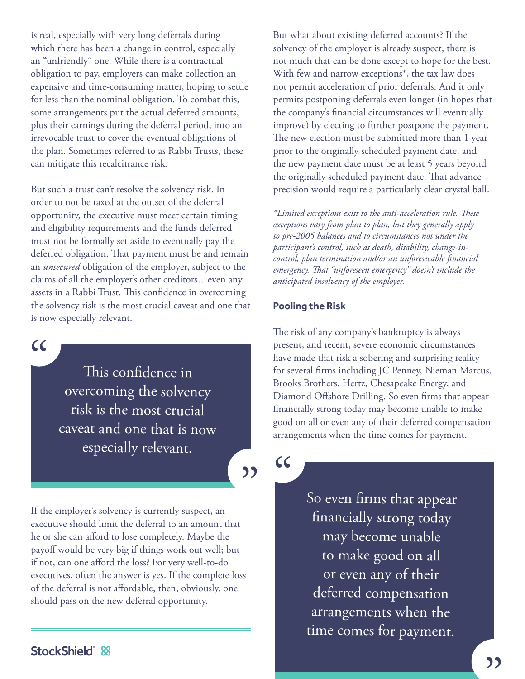is real, especially with very long deferrals during which there has been a change in control, especially an "unfriendly" one. While there is a contractual obligation to pay, employers can make collection an expensive and time-consuming matter, hoping to settle for less than the nominal obligation. To combat this, some arrangements put the actual deferred amounts, plus their earnings during the deferral period, into an irrevocable trust to cover the eventual obligations of the plan. Sometimes referred to as Rabbi Trusts, these can mitigate this recalcitrance risk.

But such a trust can't resolve the solvency risk. In order to not be taxed at the outset of the deferral opportunity, the executive must meet certain timing and eligibility requirements and the funds deferred must not be formally set aside to eventually pay the deferred obligation. That payment must be and remain an *unsecured* obligation of the employer, subject to the claims of all the employer's other creditors…even any assets in a Rabbi Trust. This confidence in overcoming the solvency risk is the most crucial caveat and one that is now especially relevant.

: "

This confidence in overcoming the solvency risk is the most crucial caveat and one that is now especially relevant.

**)** 

If the employer's solvency is currently suspect, an executive should limit the deferral to an amount that he or she can afford to lose completely. Maybe the payoff would be very big if things work out well; but if not, can one afford the loss? For very well-to-do executives, often the answer is yes. If the complete loss of the deferral is not affordable, then, obviously, one should pass on the new deferral opportunity.

But what about existing deferred accounts? If the solvency of the employer is already suspect, there is not much that can be done except to hope for the best. With few and narrow exceptions\*, the tax law does not permit acceleration of prior deferrals. And it only permits postponing deferrals even longer (in hopes that the company's financial circumstances will eventually improve) by electing to further postpone the payment. The new election must be submitted more than 1 year prior to the originally scheduled payment date, and the new payment date must be at least 5 years beyond the originally scheduled payment date. That advance precision would require a particularly clear crystal ball.

*\*Limited exceptions exist to the anti-acceleration rule. These exceptions vary from plan to plan, but they generally apply to pre-2005 balances and to circumstances not under the participant's control, such as death, disability, change-incontrol, plan termination and/or an unforeseeable financial emergency. That "unforeseen emergency" doesn't include the anticipated insolvency of the employer.*

#### **Pooling the Risk**

The risk of any company's bankruptcy is always present, and recent, severe economic circumstances have made that risk a sobering and surprising reality for several firms including JC Penney, Nieman Marcus, Brooks Brothers, Hertz, Chesapeake Energy, and Diamond Offshore Drilling. So even firms that appear financially strong today may become unable to make good on all or even any of their deferred compensation arrangements when the time comes for payment.

: "

So even firms that appear financially strong today may become unable to make good on all or even any of their deferred compensation arrangements when the time comes for payment.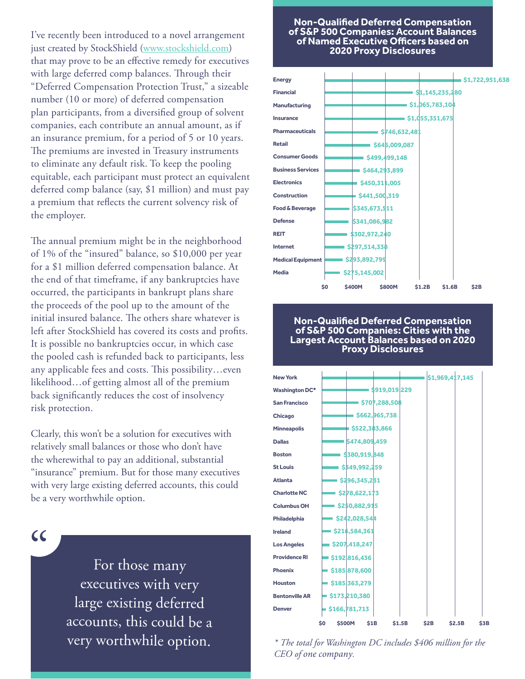I've recently been introduced to a novel arrangement just created by StockShield (www.stockshield.com) that may prove to be an effective remedy for executives with large deferred comp balances. Through their "Deferred Compensation Protection Trust," a sizeable number (10 or more) of deferred compensation plan participants, from a diversified group of solvent companies, each contribute an annual amount, as if an insurance premium, for a period of 5 or 10 years. The premiums are invested in Treasury instruments to eliminate any default risk. To keep the pooling equitable, each participant must protect an equivalent deferred comp balance (say, \$1 million) and must pay a premium that reflects the current solvency risk of the employer.

The annual premium might be in the neighborhood of 1% of the "insured" balance, so \$10,000 per year for a \$1 million deferred compensation balance. At the end of that timeframe, if any bankruptcies have occurred, the participants in bankrupt plans share the proceeds of the pool up to the amount of the initial insured balance. The others share whatever is left after StockShield has covered its costs and profits. It is possible no bankruptcies occur, in which case the pooled cash is refunded back to participants, less any applicable fees and costs. This possibility…even likelihood…of getting almost all of the premium back significantly reduces the cost of insolvency risk protection.

Clearly, this won't be a solution for executives with relatively small balances or those who don't have the wherewithal to pay an additional, substantial "insurance" premium. But for those many executives with very large existing deferred accounts, this could be a very worthwhile option.

: "

For those many executives with very large existing deferred accounts, this could be a very worthwhile option.

#### **Non-Qualified Deferred Compensation of S&P 500 Companies: Account Balances of Named Executive Officers based on 2020 Proxy Disclosures**



#### **Non-Qualified Deferred Compensation of S&P 500 Companies: Cities with the Largest Account Balances based on 2020 Proxy Disclosures**



*\* The total for Washington DC includes \$406 million for the CEO of one company.*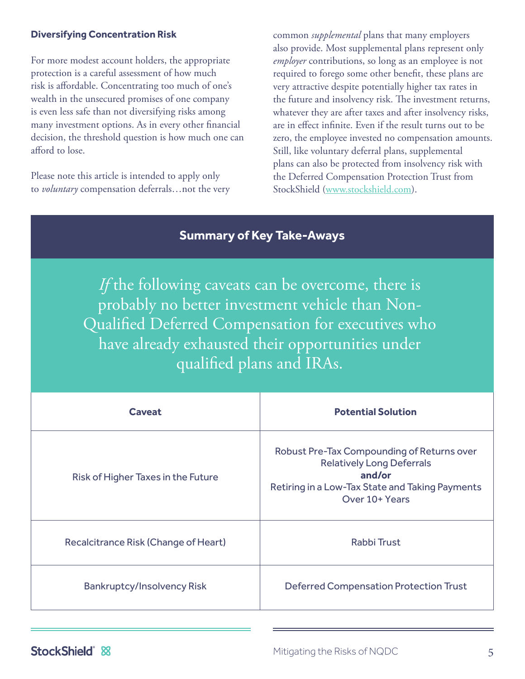#### **Diversifying Concentration Risk**

For more modest account holders, the appropriate protection is a careful assessment of how much risk is affordable. Concentrating too much of one's wealth in the unsecured promises of one company is even less safe than not diversifying risks among many investment options. As in every other financial decision, the threshold question is how much one can afford to lose.

Please note this article is intended to apply only to *voluntary* compensation deferrals…not the very common *supplemental* plans that many employers also provide. Most supplemental plans represent only *employer* contributions, so long as an employee is not required to forego some other benefit, these plans are very attractive despite potentially higher tax rates in the future and insolvency risk. The investment returns, whatever they are after taxes and after insolvency risks, are in effect infinite. Even if the result turns out to be zero, the employee invested no compensation amounts. Still, like voluntary deferral plans, supplemental plans can also be protected from insolvency risk with the Deferred Compensation Protection Trust from StockShield (www.stockshield.com).

### **Summary of Key Take-Aways**

*If* the following caveats can be overcome, there is probably no better investment vehicle than Non-Qualified Deferred Compensation for executives who have already exhausted their opportunities under qualified plans and IRAs.

| <b>Caveat</b>                        | <b>Potential Solution</b>                                                                                                                                     |
|--------------------------------------|---------------------------------------------------------------------------------------------------------------------------------------------------------------|
| Risk of Higher Taxes in the Future   | Robust Pre-Tax Compounding of Returns over<br><b>Relatively Long Deferrals</b><br>and/or<br>Retiring in a Low-Tax State and Taking Payments<br>Over 10+ Years |
| Recalcitrance Risk (Change of Heart) | Rabbi Trust                                                                                                                                                   |
| <b>Bankruptcy/Insolvency Risk</b>    | <b>Deferred Compensation Protection Trust</b>                                                                                                                 |